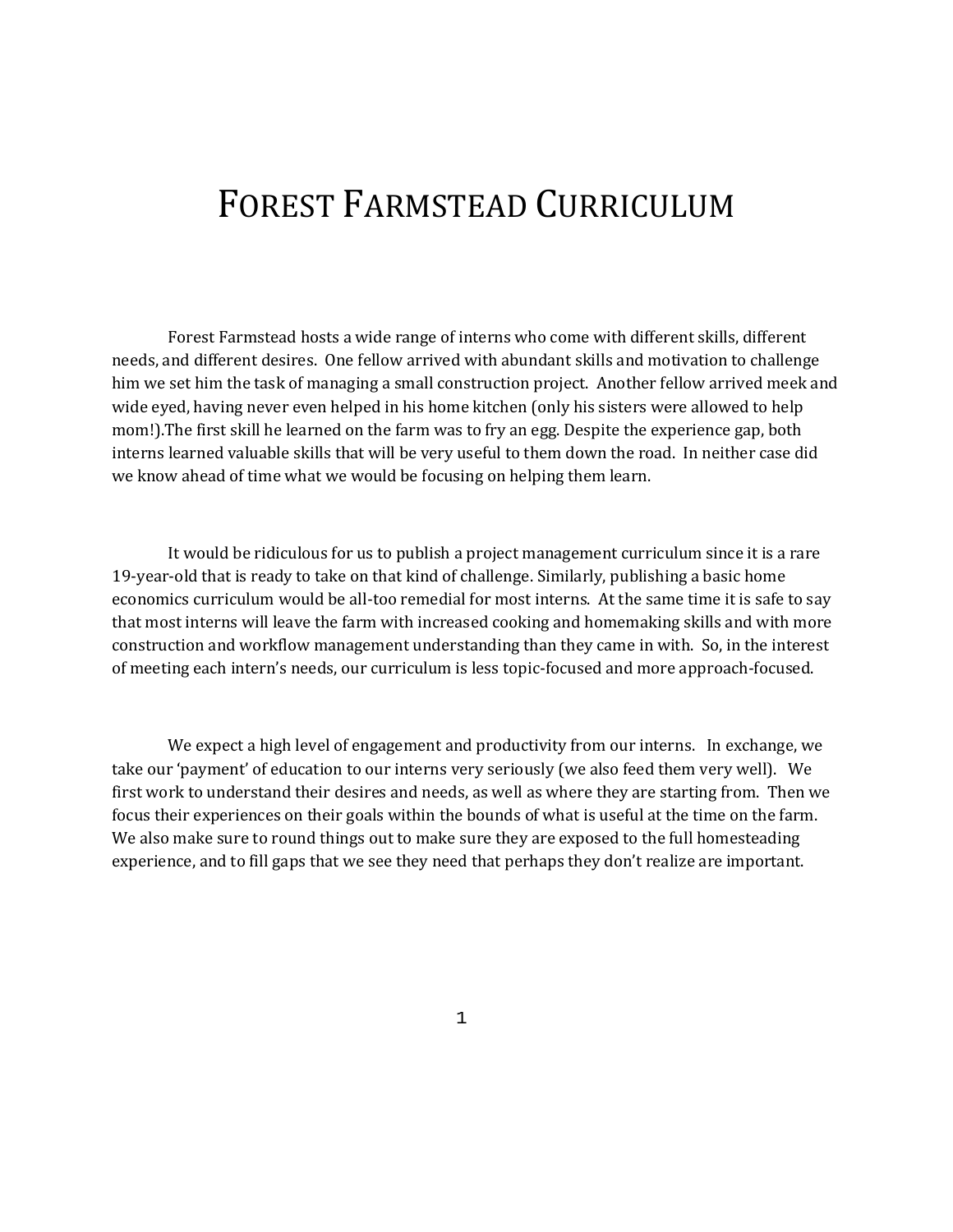# FOREST FARMSTEAD CURRICULUM

Forest Farmstead hosts a wide range of interns who come with different skills, different needs, and different desires. One fellow arrived with abundant skills and motivation to challenge him we set him the task of managing a small construction project. Another fellow arrived meek and wide eyed, having never even helped in his home kitchen (only his sisters were allowed to help mom!).The first skill he learned on the farm was to fry an egg. Despite the experience gap, both interns learned valuable skills that will be very useful to them down the road. In neither case did we know ahead of time what we would be focusing on helping them learn.

It would be ridiculous for us to publish a project management curriculum since it is a rare 19-year-old that is ready to take on that kind of challenge. Similarly, publishing a basic home economics curriculum would be all-too remedial for most interns. At the same time it is safe to say that most interns will leave the farm with increased cooking and homemaking skills and with more construction and workflow management understanding than they came in with. So, in the interest of meeting each intern's needs, our curriculum is less topic-focused and more approach-focused.

We expect a high level of engagement and productivity from our interns. In exchange, we take our 'payment' of education to our interns very seriously (we also feed them very well). We first work to understand their desires and needs, as well as where they are starting from. Then we focus their experiences on their goals within the bounds of what is useful at the time on the farm. We also make sure to round things out to make sure they are exposed to the full homesteading experience, and to fill gaps that we see they need that perhaps they don't realize are important.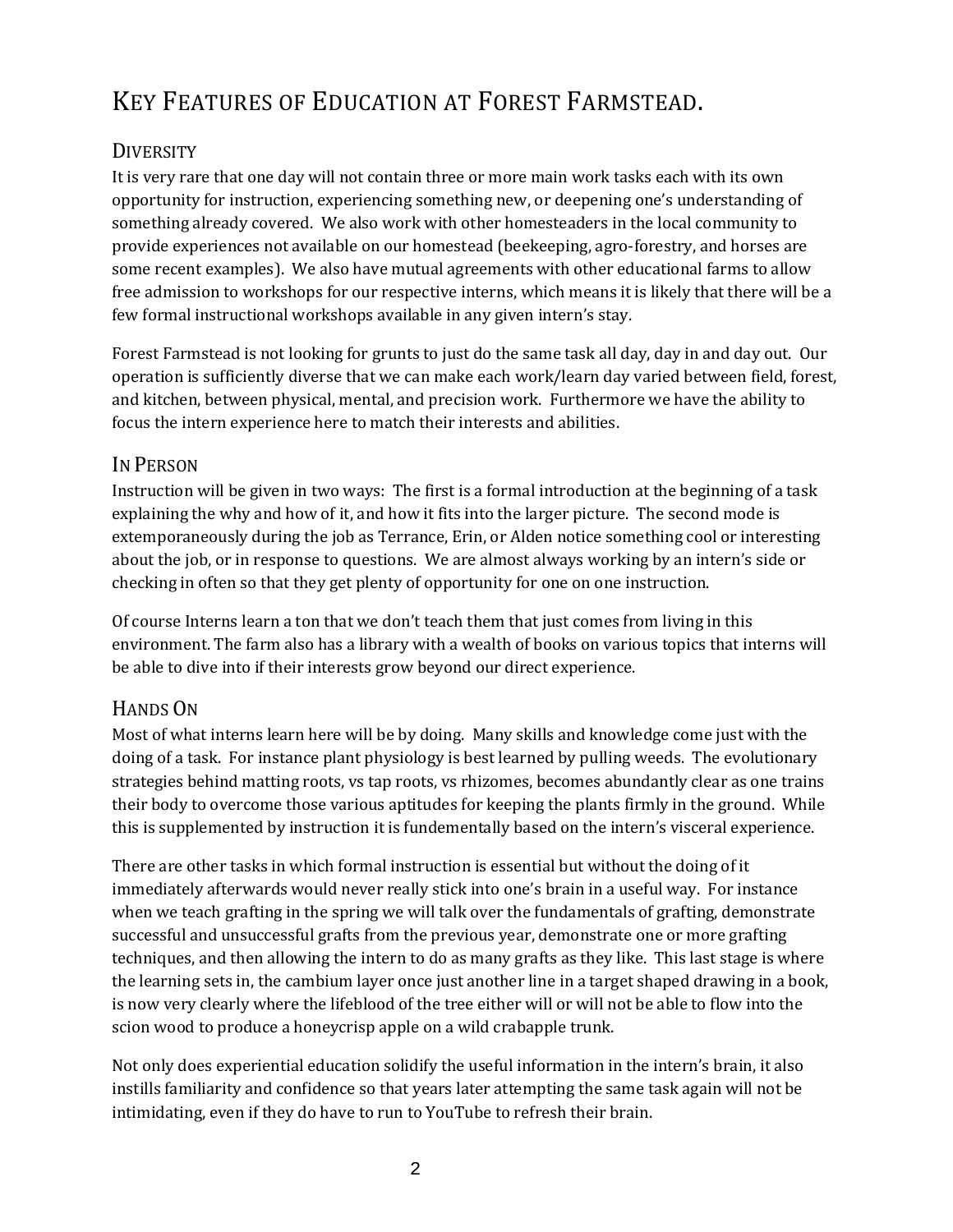## KEY FEATURES OF EDUCATION AT FOREST FARMSTEAD.

## **DIVERSITY**

It is very rare that one day will not contain three or more main work tasks each with its own opportunity for instruction, experiencing something new, or deepening one's understanding of something already covered. We also work with other homesteaders in the local community to provide experiences not available on our homestead (beekeeping, agro-forestry, and horses are some recent examples). We also have mutual agreements with other educational farms to allow free admission to workshops for our respective interns, which means it is likely that there will be a few formal instructional workshops available in any given intern's stay.

Forest Farmstead is not looking for grunts to just do the same task all day, day in and day out. Our operation is sufficiently diverse that we can make each work/learn day varied between field, forest, and kitchen, between physical, mental, and precision work. Furthermore we have the ability to focus the intern experience here to match their interests and abilities.

### IN PERSON

Instruction will be given in two ways: The first is a formal introduction at the beginning of a task explaining the why and how of it, and how it fits into the larger picture. The second mode is extemporaneously during the job as Terrance, Erin, or Alden notice something cool or interesting about the job, or in response to questions. We are almost always working by an intern's side or checking in often so that they get plenty of opportunity for one on one instruction.

Of course Interns learn a ton that we don't teach them that just comes from living in this environment. The farm also has a library with a wealth of books on various topics that interns will be able to dive into if their interests grow beyond our direct experience.

## HANDS ON

Most of what interns learn here will be by doing. Many skills and knowledge come just with the doing of a task. For instance plant physiology is best learned by pulling weeds. The evolutionary strategies behind matting roots, vs tap roots, vs rhizomes, becomes abundantly clear as one trains their body to overcome those various aptitudes for keeping the plants firmly in the ground. While this is supplemented by instruction it is fundementally based on the intern's visceral experience.

There are other tasks in which formal instruction is essential but without the doing of it immediately afterwards would never really stick into one's brain in a useful way. For instance when we teach grafting in the spring we will talk over the fundamentals of grafting, demonstrate successful and unsuccessful grafts from the previous year, demonstrate one or more grafting techniques, and then allowing the intern to do as many grafts as they like. This last stage is where the learning sets in, the cambium layer once just another line in a target shaped drawing in a book, is now very clearly where the lifeblood of the tree either will or will not be able to flow into the scion wood to produce a honeycrisp apple on a wild crabapple trunk.

Not only does experiential education solidify the useful information in the intern's brain, it also instills familiarity and confidence so that years later attempting the same task again will not be intimidating, even if they do have to run to YouTube to refresh their brain.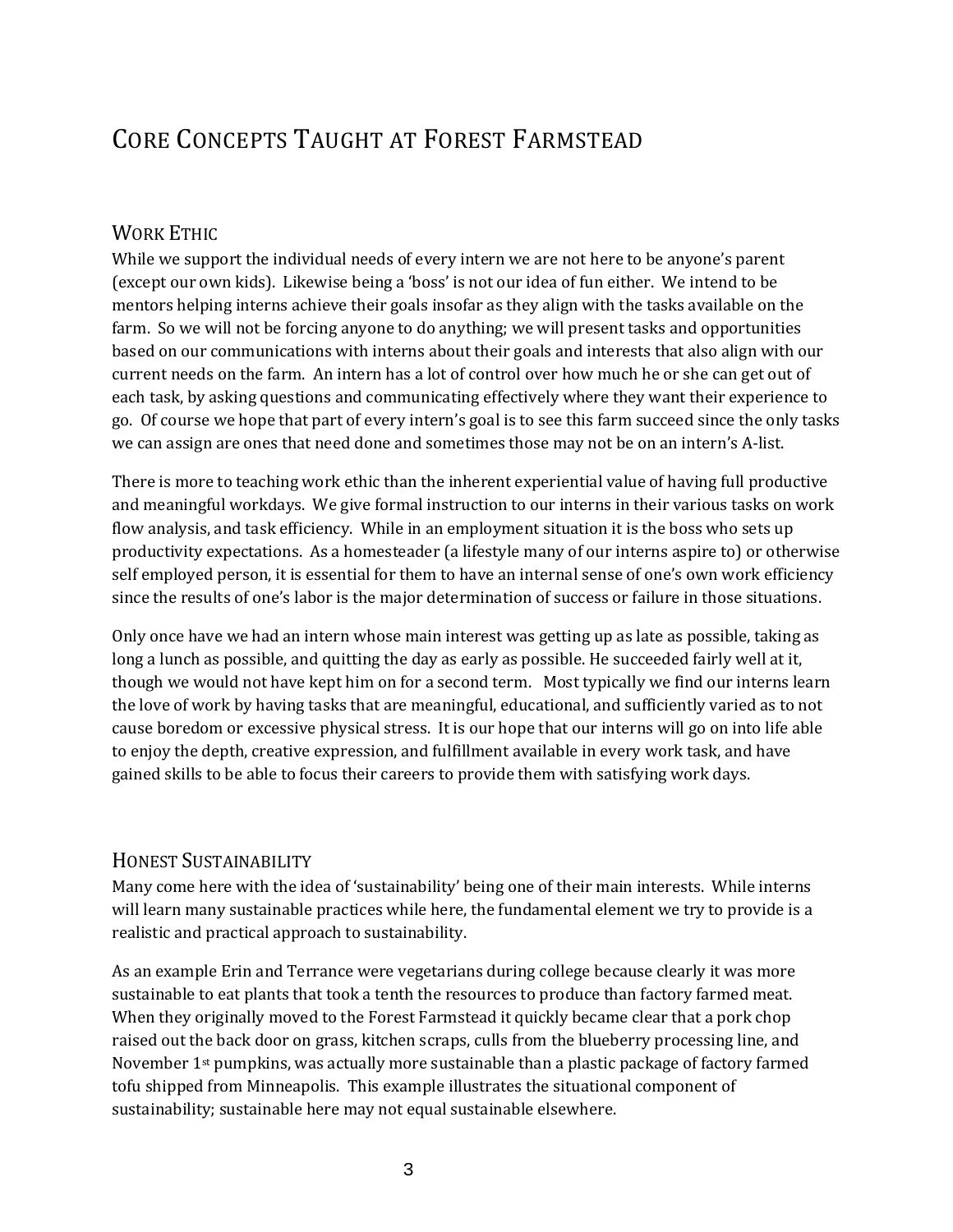## CORE CONCEPTS TAUGHT AT FOREST FARMSTEAD

#### WORK ETHIC

While we support the individual needs of every intern we are not here to be anyone's parent (except our own kids). Likewise being a 'boss' is not our idea of fun either. We intend to be mentors helping interns achieve their goals insofar as they align with the tasks available on the farm. So we will not be forcing anyone to do anything; we will present tasks and opportunities based on our communications with interns about their goals and interests that also align with our current needs on the farm. An intern has a lot of control over how much he or she can get out of each task, by asking questions and communicating effectively where they want their experience to go. Of course we hope that part of every intern's goal is to see this farm succeed since the only tasks we can assign are ones that need done and sometimes those may not be on an intern's A-list.

There is more to teaching work ethic than the inherent experiential value of having full productive and meaningful workdays. We give formal instruction to our interns in their various tasks on work flow analysis, and task efficiency. While in an employment situation it is the boss who sets up productivity expectations. As a homesteader (a lifestyle many of our interns aspire to) or otherwise self employed person, it is essential for them to have an internal sense of one's own work efficiency since the results of one's labor is the major determination of success or failure in those situations.

Only once have we had an intern whose main interest was getting up as late as possible, taking as long a lunch as possible, and quitting the day as early as possible. He succeeded fairly well at it, though we would not have kept him on for a second term. Most typically we find our interns learn the love of work by having tasks that are meaningful, educational, and sufficiently varied as to not cause boredom or excessive physical stress. It is our hope that our interns will go on into life able to enjoy the depth, creative expression, and fulfillment available in every work task, and have gained skills to be able to focus their careers to provide them with satisfying work days.

#### HONEST SUSTAINABILITY

Many come here with the idea of 'sustainability' being one of their main interests. While interns will learn many sustainable practices while here, the fundamental element we try to provide is a realistic and practical approach to sustainability.

As an example Erin and Terrance were vegetarians during college because clearly it was more sustainable to eat plants that took a tenth the resources to produce than factory farmed meat. When they originally moved to the Forest Farmstead it quickly became clear that a pork chop raised out the back door on grass, kitchen scraps, culls from the blueberry processing line, and November 1st pumpkins, was actually more sustainable than a plastic package of factory farmed tofu shipped from Minneapolis. This example illustrates the situational component of sustainability; sustainable here may not equal sustainable elsewhere.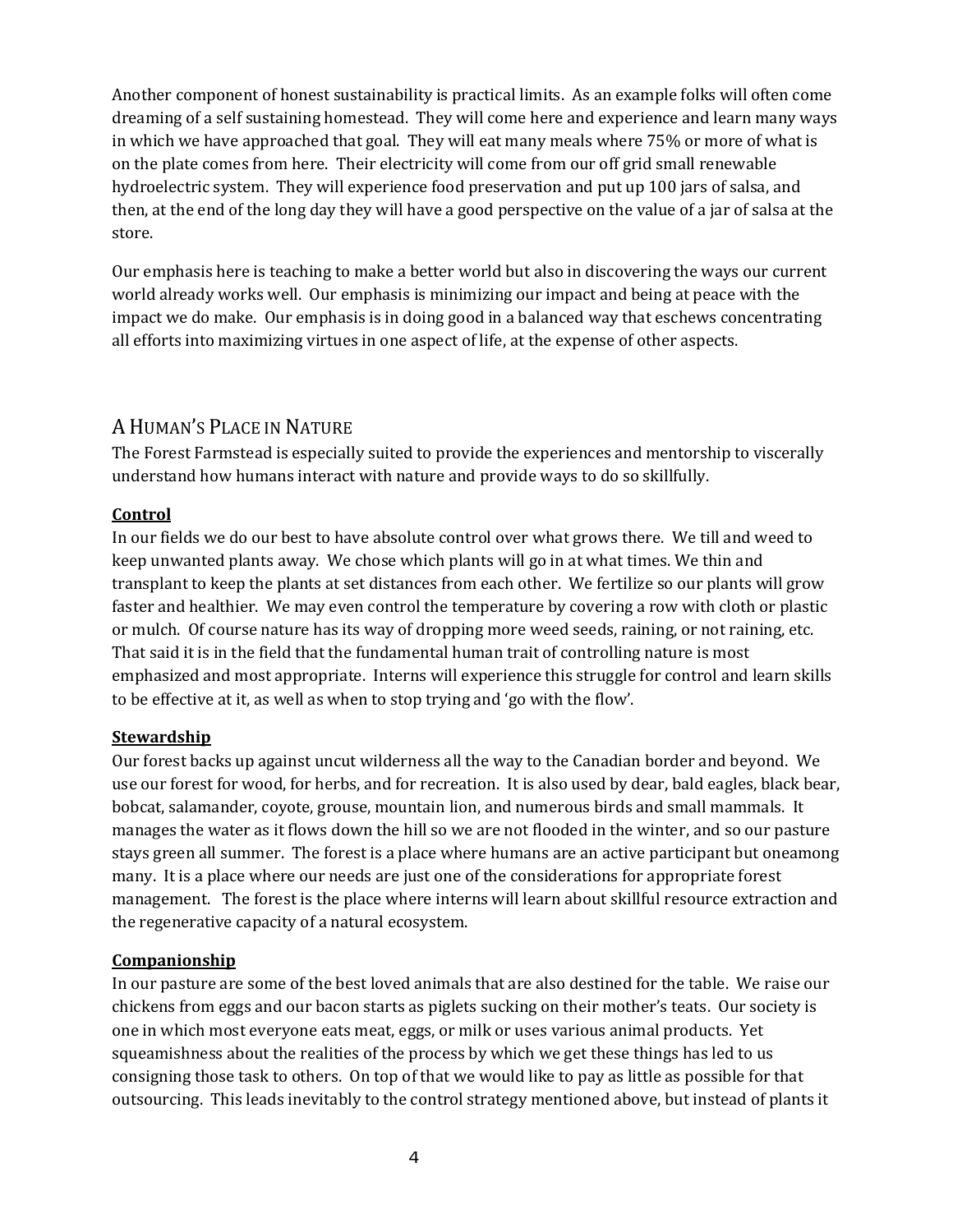Another component of honest sustainability is practical limits. As an example folks will often come dreaming of a self sustaining homestead. They will come here and experience and learn many ways in which we have approached that goal. They will eat many meals where 75% or more of what is on the plate comes from here. Their electricity will come from our off grid small renewable hydroelectric system. They will experience food preservation and put up 100 jars of salsa, and then, at the end of the long day they will have a good perspective on the value of a jar of salsa at the store.

Our emphasis here is teaching to make a better world but also in discovering the ways our current world already works well. Our emphasis is minimizing our impact and being at peace with the impact we do make. Our emphasis is in doing good in a balanced way that eschews concentrating all efforts into maximizing virtues in one aspect of life, at the expense of other aspects.

## A HUMAN'S PLACE IN NATURE

The Forest Farmstead is especially suited to provide the experiences and mentorship to viscerally understand how humans interact with nature and provide ways to do so skillfully.

#### **Control**

In our fields we do our best to have absolute control over what grows there. We till and weed to keep unwanted plants away. We chose which plants will go in at what times. We thin and transplant to keep the plants at set distances from each other. We fertilize so our plants will grow faster and healthier. We may even control the temperature by covering a row with cloth or plastic or mulch. Of course nature has its way of dropping more weed seeds, raining, or not raining, etc. That said it is in the field that the fundamental human trait of controlling nature is most emphasized and most appropriate. Interns will experience this struggle for control and learn skills to be effective at it, as well as when to stop trying and 'go with the flow'.

#### **Stewardship**

Our forest backs up against uncut wilderness all the way to the Canadian border and beyond. We use our forest for wood, for herbs, and for recreation. It is also used by dear, bald eagles, black bear, bobcat, salamander, coyote, grouse, mountain lion, and numerous birds and small mammals. It manages the water as it flows down the hill so we are not flooded in the winter, and so our pasture stays green all summer. The forest is a place where humans are an active participant but oneamong many. It is a place where our needs are just one of the considerations for appropriate forest management. The forest is the place where interns will learn about skillful resource extraction and the regenerative capacity of a natural ecosystem.

#### **Companionship**

In our pasture are some of the best loved animals that are also destined for the table. We raise our chickens from eggs and our bacon starts as piglets sucking on their mother's teats. Our society is one in which most everyone eats meat, eggs, or milk or uses various animal products. Yet squeamishness about the realities of the process by which we get these things has led to us consigning those task to others. On top of that we would like to pay as little as possible for that outsourcing. This leads inevitably to the control strategy mentioned above, but instead of plants it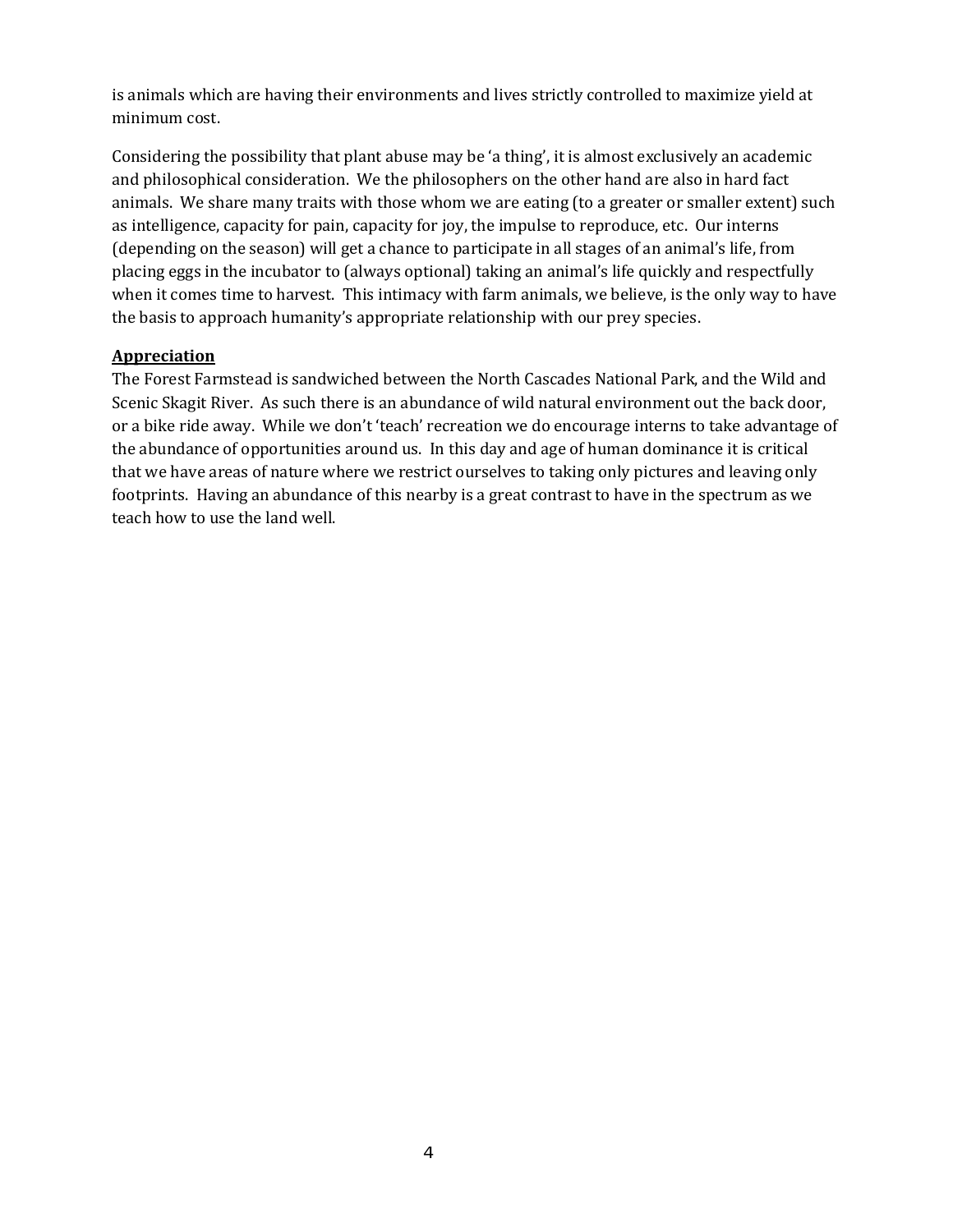is animals which are having their environments and lives strictly controlled to maximize yield at minimum cost.

Considering the possibility that plant abuse may be 'a thing', it is almost exclusively an academic and philosophical consideration. We the philosophers on the other hand are also in hard fact animals. We share many traits with those whom we are eating (to a greater or smaller extent) such as intelligence, capacity for pain, capacity for joy, the impulse to reproduce, etc. Our interns (depending on the season) will get a chance to participate in all stages of an animal's life, from placing eggs in the incubator to (always optional) taking an animal's life quickly and respectfully when it comes time to harvest. This intimacy with farm animals, we believe, is the only way to have the basis to approach humanity's appropriate relationship with our prey species.

#### **Appreciation**

The Forest Farmstead is sandwiched between the North Cascades National Park, and the Wild and Scenic Skagit River. As such there is an abundance of wild natural environment out the back door, or a bike ride away. While we don't 'teach' recreation we do encourage interns to take advantage of the abundance of opportunities around us. In this day and age of human dominance it is critical that we have areas of nature where we restrict ourselves to taking only pictures and leaving only footprints. Having an abundance of this nearby is a great contrast to have in the spectrum as we teach how to use the land well.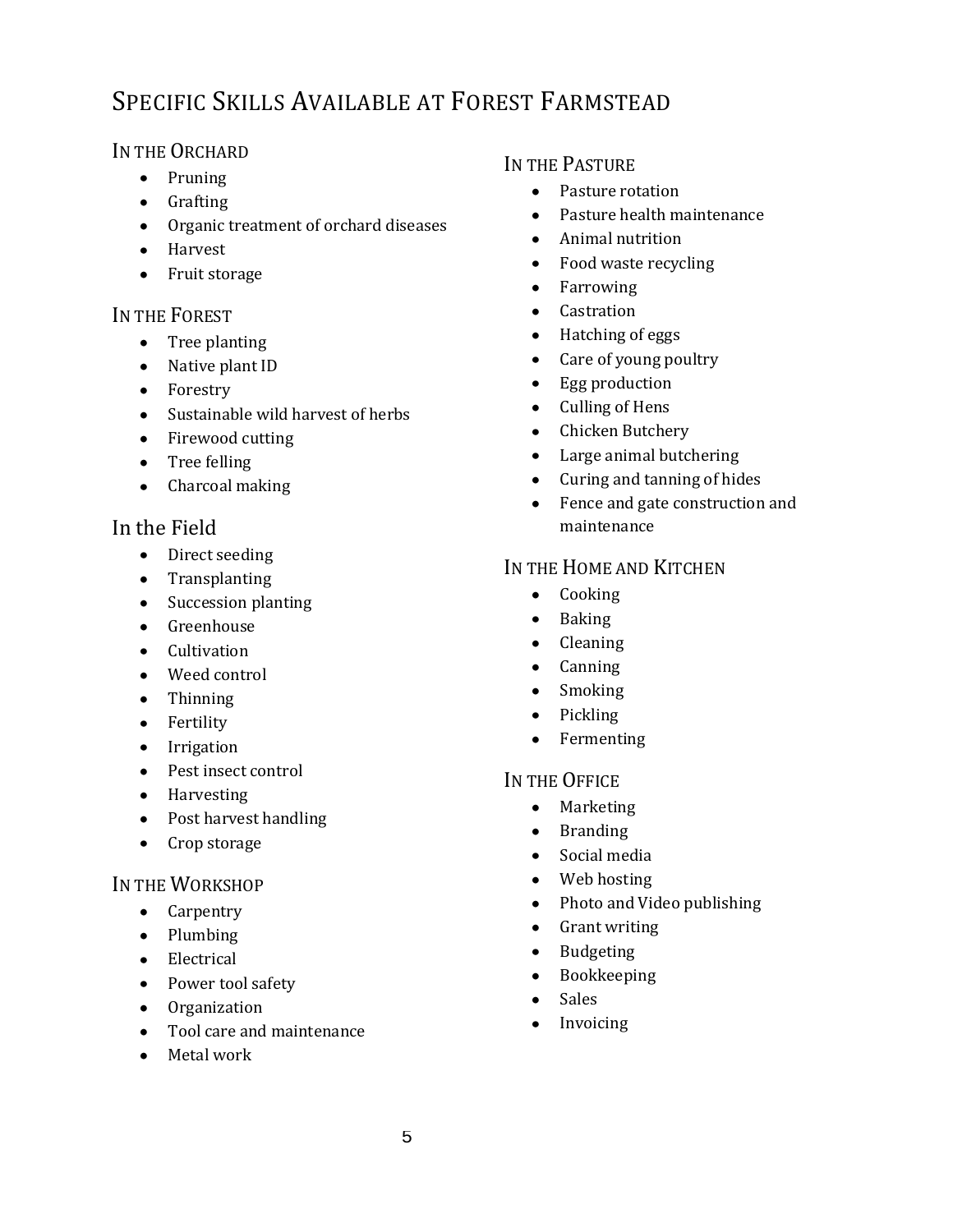## SPECIFIC SKILLS AVAILABLE AT FOREST FARMSTEAD

### IN THE ORCHARD

- $\bullet$  Pruning
- Grafting
- Organic treatment of orchard diseases
- Harvest
- Fruit storage

### IN THE FOREST

- Tree planting
- Native plant ID
- Forestry
- Sustainable wild harvest of herbs
- Firewood cutting
- Tree felling
- Charcoal making

## In the Field

- Direct seeding
- Transplanting
- Succession planting
- Greenhouse
- Cultivation
- Weed control
- Thinning
- Fertility
- Irrigation
- Pest insect control
- Harvesting
- Post harvest handling
- Crop storage

## IN THE WORKSHOP

- Carpentry
- $\bullet$  Plumbing
- Electrical
- Power tool safety
- Organization
- Tool care and maintenance
- Metal work

## IN THE PASTURE

- Pasture rotation
- Pasture health maintenance  $\bullet$
- $\bullet$ Animal nutrition
- Food waste recycling  $\bullet$
- Farrowing  $\bullet$
- Castration
- Hatching of eggs  $\bullet$
- Care of young poultry  $\bullet$
- Egg production  $\bullet$
- Culling of Hens  $\bullet$
- Chicken Butchery  $\bullet$
- Large animal butchering  $\bullet$
- Curing and tanning of hides  $\bullet$
- $\bullet$ Fence and gate construction and maintenance

## IN THE HOME AND KITCHEN

- Cooking
- Baking  $\bullet$
- Cleaning  $\bullet$
- $\bullet$ Canning
- Smoking  $\bullet$
- Pickling  $\bullet$
- Fermenting

## IN THE OFFICE

- Marketing
- Branding  $\bullet$
- Social media  $\bullet$
- $\bullet$ Web hosting
- Photo and Video publishing
- Grant writing  $\bullet$
- Budgeting  $\bullet$
- Bookkeeping  $\bullet$
- Sales  $\bullet$
- Invoicing  $\bullet$